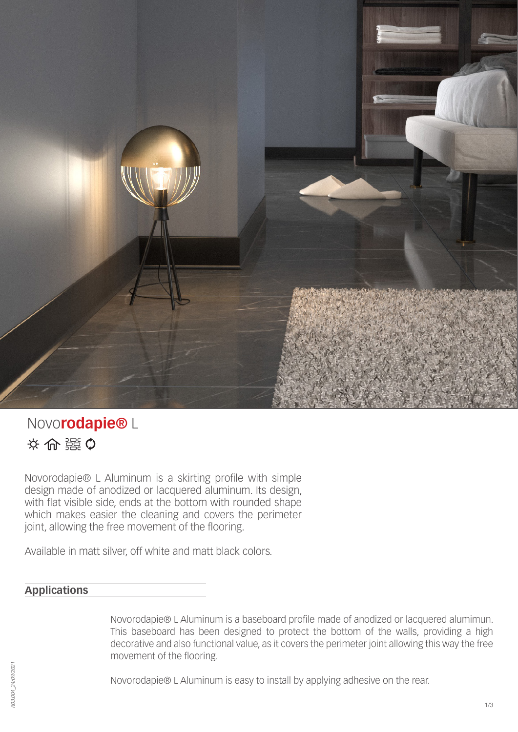

# Novo**rodapie®** L ※ 命 謡 Q

Novorodapie® L Aluminum is a skirting profile with simple design made of anodized or lacquered aluminum. Its design, with flat visible side, ends at the bottom with rounded shape which makes easier the cleaning and covers the perimeter joint, allowing the free movement of the flooring.

Available in matt silver, off white and matt black colors.

## **Applications**

Novorodapie® L Aluminum is a baseboard profile made of anodized or lacquered alumimun. This baseboard has been designed to protect the bottom of the walls, providing a high decorative and also functional value, as it covers the perimeter joint allowing this way the free movement of the flooring.

Novorodapie® L Aluminum is easy to install by applying adhesive on the rear.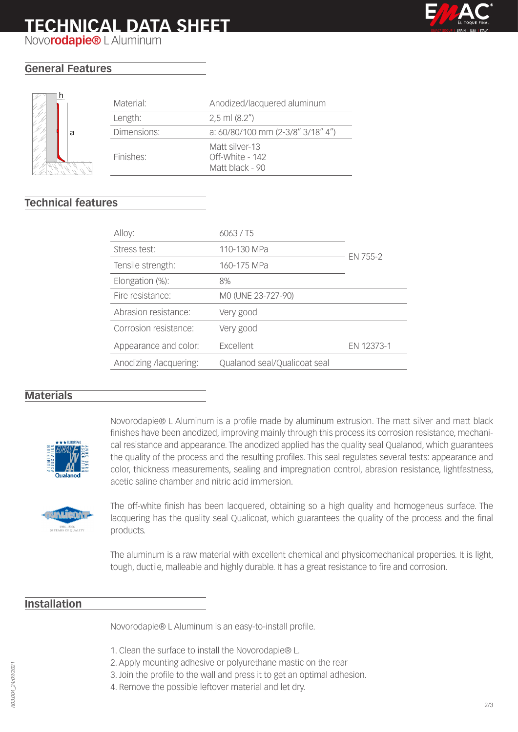# **TECHNICAL DATA SHEET**



Novo**rodapie®** L Aluminum

## **General Features**



| Material:   | Anodized/lacquered aluminum                          |
|-------------|------------------------------------------------------|
| Length:     | $2,5$ ml $(8.2")$                                    |
| Dimensions: | a: 60/80/100 mm (2-3/8" 3/18" 4")                    |
| Finishes:   | Matt silver-13<br>Off-White - 142<br>Matt black - 90 |

## **Technical features**

| 6063 / T5                    |            |
|------------------------------|------------|
| 110-130 MPa                  | EN 755-2   |
| 160-175 MPa                  |            |
| 8%                           |            |
| MO (UNE 23-727-90)           |            |
| Very good                    |            |
| Very good                    |            |
| Excellent                    | EN 12373-1 |
| Qualanod seal/Qualicoat seal |            |
|                              |            |

#### **Materials**



Novorodapie® L Aluminum is a profile made by aluminum extrusion. The matt silver and matt black finishes have been anodized, improving mainly through this process its corrosion resistance, mechanical resistance and appearance. The anodized applied has the quality seal Qualanod, which guarantees the quality of the process and the resulting profiles. This seal regulates several tests: appearance and color, thickness measurements, sealing and impregnation control, abrasion resistance, lightfastness, acetic saline chamber and nitric acid immersion.



The off-white finish has been lacquered, obtaining so a high quality and homogeneus surface. The lacquering has the quality seal Qualicoat, which guarantees the quality of the process and the final products.

The aluminum is a raw material with excellent chemical and physicomechanical properties. It is light, tough, ductile, malleable and highly durable. It has a great resistance to fire and corrosion.

### **Installation**

Novorodapie® L Aluminum is an easy-to-install profile.

- 1. Clean the surface to install the Novorodapie® L.
- 2. Apply mounting adhesive or polyurethane mastic on the rear
- 3. Join the profile to the wall and press it to get an optimal adhesion.
- 4. Remove the possible leftover material and let dry.